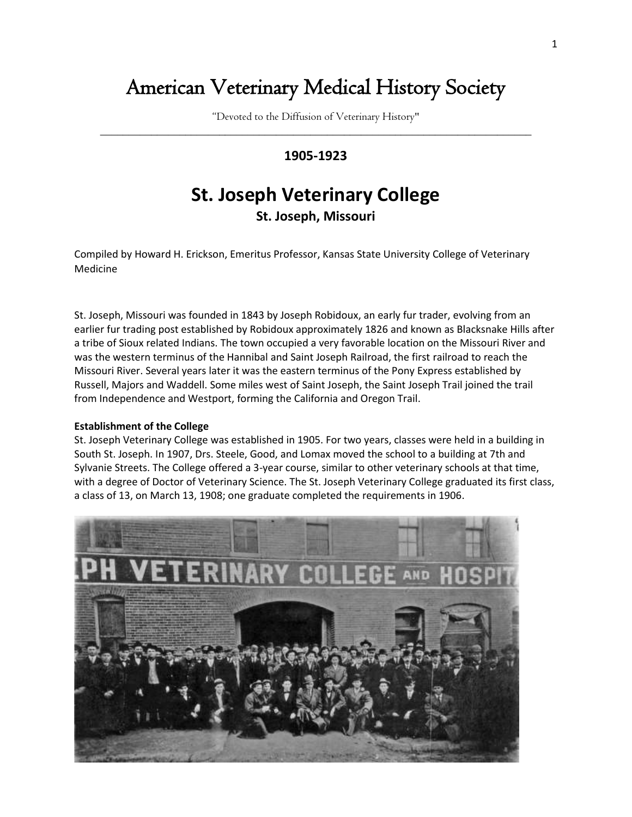## American Veterinary Medical History Society

"Devoted to the Diffusion of Veterinary History" \_\_\_\_\_\_\_\_\_\_\_\_\_\_\_\_\_\_\_\_\_\_\_\_\_\_\_\_\_\_\_\_\_\_\_\_\_\_\_\_\_\_\_\_\_\_\_\_\_\_\_\_\_\_\_\_\_\_\_\_\_\_\_\_\_\_\_\_\_\_\_\_\_\_\_\_

### **1905-1923**

# **St. Joseph Veterinary College**

**St. Joseph, Missouri**

Compiled by Howard H. Erickson, Emeritus Professor, Kansas State University College of Veterinary Medicine

St. Joseph, Missouri was founded in 1843 by Joseph Robidoux, an early fur trader, evolving from an earlier fur trading post established by Robidoux approximately 1826 and known as Blacksnake Hills after a tribe of Sioux related Indians. The town occupied a very favorable location on the Missouri River and was the western terminus of the Hannibal and Saint Joseph Railroad, the first railroad to reach the Missouri River. Several years later it was the eastern terminus of the Pony Express established by Russell, Majors and Waddell. Some miles west of Saint Joseph, the Saint Joseph Trail joined the trail from Independence and Westport, forming the California and Oregon Trail.

#### **Establishment of the College**

St. Joseph Veterinary College was established in 1905. For two years, classes were held in a building in South St. Joseph. In 1907, Drs. Steele, Good, and Lomax moved the school to a building at 7th and Sylvanie Streets. The College offered a 3-year course, similar to other veterinary schools at that time, with a degree of Doctor of Veterinary Science. The St. Joseph Veterinary College graduated its first class, a class of 13, on March 13, 1908; one graduate completed the requirements in 1906.

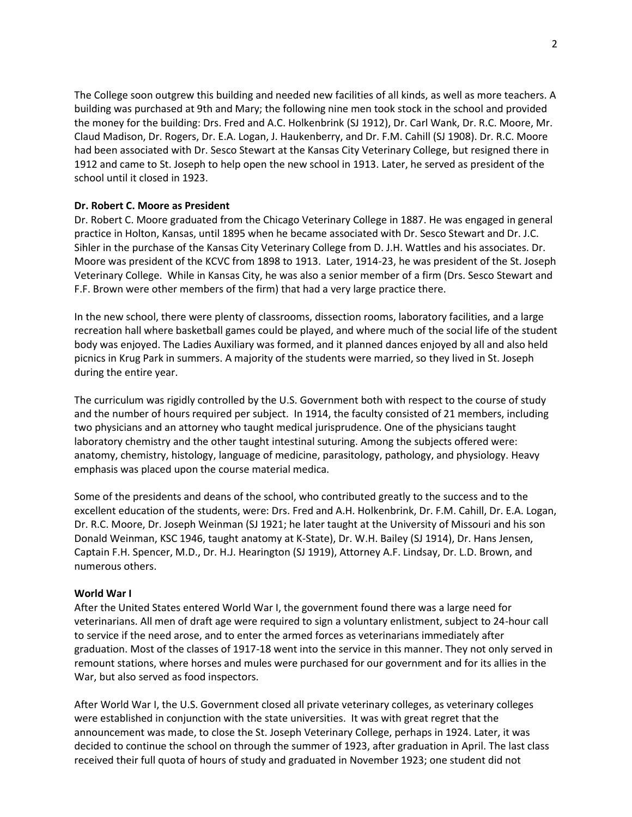The College soon outgrew this building and needed new facilities of all kinds, as well as more teachers. A building was purchased at 9th and Mary; the following nine men took stock in the school and provided the money for the building: Drs. Fred and A.C. Holkenbrink (SJ 1912), Dr. Carl Wank, Dr. R.C. Moore, Mr. Claud Madison, Dr. Rogers, Dr. E.A. Logan, J. Haukenberry, and Dr. F.M. Cahill (SJ 1908). Dr. R.C. Moore had been associated with Dr. Sesco Stewart at the Kansas City Veterinary College, but resigned there in 1912 and came to St. Joseph to help open the new school in 1913. Later, he served as president of the school until it closed in 1923.

#### **Dr. Robert C. Moore as President**

Dr. Robert C. Moore graduated from the Chicago Veterinary College in 1887. He was engaged in general practice in Holton, Kansas, until 1895 when he became associated with Dr. Sesco Stewart and Dr. J.C. Sihler in the purchase of the Kansas City Veterinary College from D. J.H. Wattles and his associates. Dr. Moore was president of the KCVC from 1898 to 1913. Later, 1914-23, he was president of the St. Joseph Veterinary College. While in Kansas City, he was also a senior member of a firm (Drs. Sesco Stewart and F.F. Brown were other members of the firm) that had a very large practice there.

In the new school, there were plenty of classrooms, dissection rooms, laboratory facilities, and a large recreation hall where basketball games could be played, and where much of the social life of the student body was enjoyed. The Ladies Auxiliary was formed, and it planned dances enjoyed by all and also held picnics in Krug Park in summers. A majority of the students were married, so they lived in St. Joseph during the entire year.

The curriculum was rigidly controlled by the U.S. Government both with respect to the course of study and the number of hours required per subject. In 1914, the faculty consisted of 21 members, including two physicians and an attorney who taught medical jurisprudence. One of the physicians taught laboratory chemistry and the other taught intestinal suturing. Among the subjects offered were: anatomy, chemistry, histology, language of medicine, parasitology, pathology, and physiology. Heavy emphasis was placed upon the course material medica.

Some of the presidents and deans of the school, who contributed greatly to the success and to the excellent education of the students, were: Drs. Fred and A.H. Holkenbrink, Dr. F.M. Cahill, Dr. E.A. Logan, Dr. R.C. Moore, Dr. Joseph Weinman (SJ 1921; he later taught at the University of Missouri and his son Donald Weinman, KSC 1946, taught anatomy at K-State), Dr. W.H. Bailey (SJ 1914), Dr. Hans Jensen, Captain F.H. Spencer, M.D., Dr. H.J. Hearington (SJ 1919), Attorney A.F. Lindsay, Dr. L.D. Brown, and numerous others.

#### **World War I**

After the United States entered World War I, the government found there was a large need for veterinarians. All men of draft age were required to sign a voluntary enlistment, subject to 24-hour call to service if the need arose, and to enter the armed forces as veterinarians immediately after graduation. Most of the classes of 1917-18 went into the service in this manner. They not only served in remount stations, where horses and mules were purchased for our government and for its allies in the War, but also served as food inspectors.

After World War I, the U.S. Government closed all private veterinary colleges, as veterinary colleges were established in conjunction with the state universities. It was with great regret that the announcement was made, to close the St. Joseph Veterinary College, perhaps in 1924. Later, it was decided to continue the school on through the summer of 1923, after graduation in April. The last class received their full quota of hours of study and graduated in November 1923; one student did not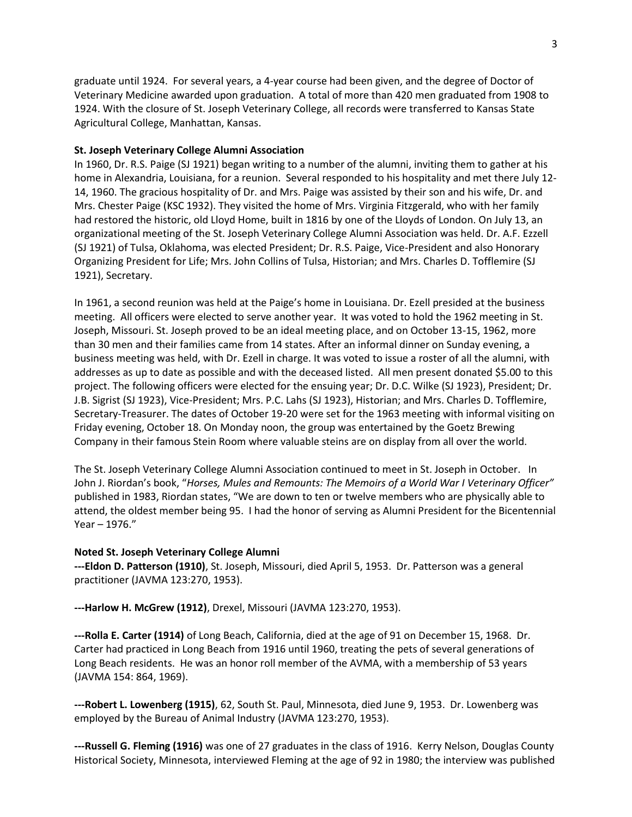graduate until 1924. For several years, a 4-year course had been given, and the degree of Doctor of Veterinary Medicine awarded upon graduation. A total of more than 420 men graduated from 1908 to 1924. With the closure of St. Joseph Veterinary College, all records were transferred to Kansas State Agricultural College, Manhattan, Kansas.

#### **St. Joseph Veterinary College Alumni Association**

In 1960, Dr. R.S. Paige (SJ 1921) began writing to a number of the alumni, inviting them to gather at his home in Alexandria, Louisiana, for a reunion. Several responded to his hospitality and met there July 12- 14, 1960. The gracious hospitality of Dr. and Mrs. Paige was assisted by their son and his wife, Dr. and Mrs. Chester Paige (KSC 1932). They visited the home of Mrs. Virginia Fitzgerald, who with her family had restored the historic, old Lloyd Home, built in 1816 by one of the Lloyds of London. On July 13, an organizational meeting of the St. Joseph Veterinary College Alumni Association was held. Dr. A.F. Ezzell (SJ 1921) of Tulsa, Oklahoma, was elected President; Dr. R.S. Paige, Vice-President and also Honorary Organizing President for Life; Mrs. John Collins of Tulsa, Historian; and Mrs. Charles D. Tofflemire (SJ 1921), Secretary.

In 1961, a second reunion was held at the Paige's home in Louisiana. Dr. Ezell presided at the business meeting. All officers were elected to serve another year. It was voted to hold the 1962 meeting in St. Joseph, Missouri. St. Joseph proved to be an ideal meeting place, and on October 13-15, 1962, more than 30 men and their families came from 14 states. After an informal dinner on Sunday evening, a business meeting was held, with Dr. Ezell in charge. It was voted to issue a roster of all the alumni, with addresses as up to date as possible and with the deceased listed. All men present donated \$5.00 to this project. The following officers were elected for the ensuing year; Dr. D.C. Wilke (SJ 1923), President; Dr. J.B. Sigrist (SJ 1923), Vice-President; Mrs. P.C. Lahs (SJ 1923), Historian; and Mrs. Charles D. Tofflemire, Secretary-Treasurer. The dates of October 19-20 were set for the 1963 meeting with informal visiting on Friday evening, October 18. On Monday noon, the group was entertained by the Goetz Brewing Company in their famous Stein Room where valuable steins are on display from all over the world.

The St. Joseph Veterinary College Alumni Association continued to meet in St. Joseph in October. In John J. Riordan's book, "*Horses, Mules and Remounts: The Memoirs of a World War I Veterinary Officer"* published in 1983, Riordan states, "We are down to ten or twelve members who are physically able to attend, the oldest member being 95. I had the honor of serving as Alumni President for the Bicentennial Year – 1976."

#### **Noted St. Joseph Veterinary College Alumni**

**---Eldon D. Patterson (1910)**, St. Joseph, Missouri, died April 5, 1953. Dr. Patterson was a general practitioner (JAVMA 123:270, 1953).

**---Harlow H. McGrew (1912)**, Drexel, Missouri (JAVMA 123:270, 1953).

**---Rolla E. Carter (1914)** of Long Beach, California, died at the age of 91 on December 15, 1968. Dr. Carter had practiced in Long Beach from 1916 until 1960, treating the pets of several generations of Long Beach residents. He was an honor roll member of the AVMA, with a membership of 53 years (JAVMA 154: 864, 1969).

**---Robert L. Lowenberg (1915)**, 62, South St. Paul, Minnesota, died June 9, 1953. Dr. Lowenberg was employed by the Bureau of Animal Industry (JAVMA 123:270, 1953).

**---Russell G. Fleming (1916)** was one of 27 graduates in the class of 1916. Kerry Nelson, Douglas County Historical Society, Minnesota, interviewed Fleming at the age of 92 in 1980; the interview was published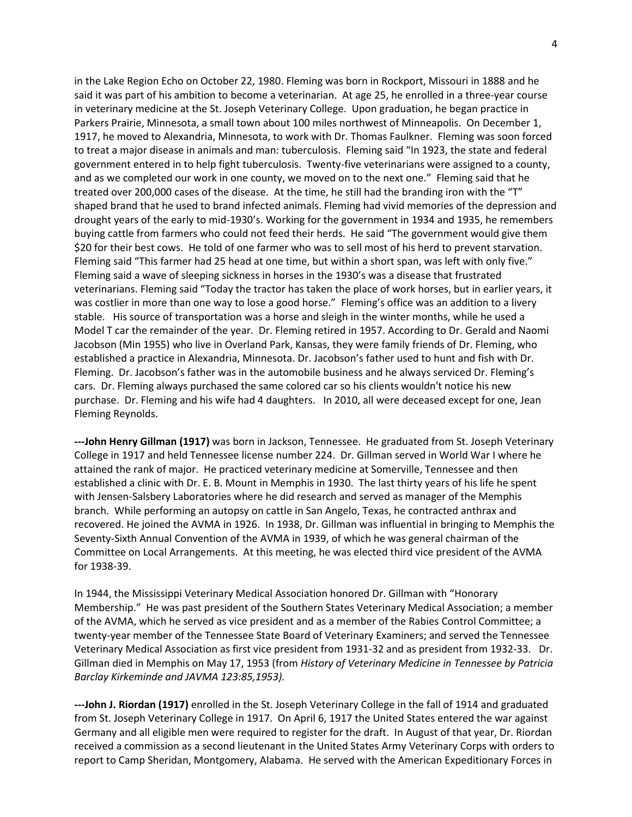in the Lake Region Echo on October 22, 1980. Fleming was born in Rockport, Missouri in 1888 and he said it was part of his ambition to become a veterinarian. At age 25, he enrolled in a three-year course in veterinary medicine at the St. Joseph Veterinary College. Upon graduation, he began practice in Parkers Prairie, Minnesota, a small town about 100 miles northwest of Minneapolis. On December 1, 1917, he moved to Alexandria, Minnesota, to work with Dr. Thomas Faulkner. Fleming was soon forced to treat a major disease in animals and man: tuberculosis. Fleming said "In 1923, the state and federal government entered in to help fight tuberculosis. Twenty-five veterinarians were assigned to a county, and as we completed our work in one county, we moved on to the next one." Fleming said that he treated over 200,000 cases of the disease. At the time, he still had the branding iron with the "T" shaped brand that he used to brand infected animals. Fleming had vivid memories of the depression and drought years of the early to mid-1930's. Working for the government in 1934 and 1935, he remembers buying cattle from farmers who could not feed their herds. He said "The government would give them \$20 for their best cows. He told of one farmer who was to sell most of his herd to prevent starvation. Fleming said "This farmer had 25 head at one time, but within a short span, was left with only five." Fleming said a wave of sleeping sickness in horses in the 1930's was a disease that frustrated veterinarians. Fleming said "Today the tractor has taken the place of work horses, but in earlier years, it was costlier in more than one way to lose a good horse." Fleming's office was an addition to a livery stable. His source of transportation was a horse and sleigh in the winter months, while he used a Model T car the remainder of the year. Dr. Fleming retired in 1957. According to Dr. Gerald and Naomi Jacobson (Min 1955) who live in Overland Park, Kansas, they were family friends of Dr. Fleming, who established a practice in Alexandria, Minnesota. Dr. Jacobson's father used to hunt and fish with Dr. Fleming. Dr. Jacobson's father was in the automobile business and he always serviced Dr. Fleming's cars. Dr. Fleming always purchased the same colored car so his clients wouldn't notice his new purchase. Dr. Fleming and his wife had 4 daughters. In 2010, all were deceased except for one, Jean Fleming Reynolds.

**---John Henry Gillman (1917)** was born in Jackson, Tennessee. He graduated from St. Joseph Veterinary College in 1917 and held Tennessee license number 224. Dr. Gillman served in World War I where he attained the rank of major. He practiced veterinary medicine at Somerville, Tennessee and then established a clinic with Dr. E. B. Mount in Memphis in 1930. The last thirty years of his life he spent with Jensen-Salsbery Laboratories where he did research and served as manager of the Memphis branch. While performing an autopsy on cattle in San Angelo, Texas, he contracted anthrax and recovered. He joined the AVMA in 1926. In 1938, Dr. Gillman was influential in bringing to Memphis the Seventy-Sixth Annual Convention of the AVMA in 1939, of which he was general chairman of the Committee on Local Arrangements. At this meeting, he was elected third vice president of the AVMA for 1938-39.

In 1944, the Mississippi Veterinary Medical Association honored Dr. Gillman with "Honorary Membership." He was past president of the Southern States Veterinary Medical Association; a member of the AVMA, which he served as vice president and as a member of the Rabies Control Committee; a twenty-year member of the Tennessee State Board of Veterinary Examiners; and served the Tennessee Veterinary Medical Association as first vice president from 1931-32 and as president from 1932-33. Dr. Gillman died in Memphis on May 17, 1953 (from *History of Veterinary Medicine in Tennessee by Patricia Barclay Kirkeminde and JAVMA 123:85,1953).* 

**---John J. Riordan (1917)** enrolled in the St. Joseph Veterinary College in the fall of 1914 and graduated from St. Joseph Veterinary College in 1917. On April 6, 1917 the United States entered the war against Germany and all eligible men were required to register for the draft. In August of that year, Dr. Riordan received a commission as a second lieutenant in the United States Army Veterinary Corps with orders to report to Camp Sheridan, Montgomery, Alabama. He served with the American Expeditionary Forces in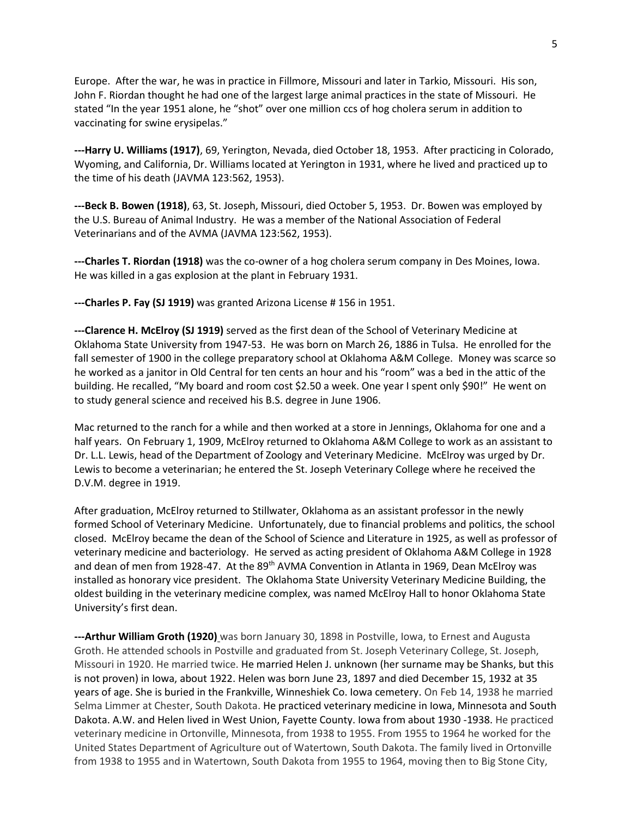Europe. After the war, he was in practice in Fillmore, Missouri and later in Tarkio, Missouri. His son, John F. Riordan thought he had one of the largest large animal practices in the state of Missouri. He stated "In the year 1951 alone, he "shot" over one million ccs of hog cholera serum in addition to vaccinating for swine erysipelas."

**---Harry U. Williams (1917)**, 69, Yerington, Nevada, died October 18, 1953. After practicing in Colorado, Wyoming, and California, Dr. Williams located at Yerington in 1931, where he lived and practiced up to the time of his death (JAVMA 123:562, 1953).

**---Beck B. Bowen (1918)**, 63, St. Joseph, Missouri, died October 5, 1953. Dr. Bowen was employed by the U.S. Bureau of Animal Industry. He was a member of the National Association of Federal Veterinarians and of the AVMA (JAVMA 123:562, 1953).

**---Charles T. Riordan (1918)** was the co-owner of a hog cholera serum company in Des Moines, Iowa. He was killed in a gas explosion at the plant in February 1931.

**---Charles P. Fay (SJ 1919)** was granted Arizona License # 156 in 1951.

**---Clarence H. McElroy (SJ 1919)** served as the first dean of the School of Veterinary Medicine at Oklahoma State University from 1947-53. He was born on March 26, 1886 in Tulsa. He enrolled for the fall semester of 1900 in the college preparatory school at Oklahoma A&M College. Money was scarce so he worked as a janitor in Old Central for ten cents an hour and his "room" was a bed in the attic of the building. He recalled, "My board and room cost \$2.50 a week. One year I spent only \$90!" He went on to study general science and received his B.S. degree in June 1906.

Mac returned to the ranch for a while and then worked at a store in Jennings, Oklahoma for one and a half years. On February 1, 1909, McElroy returned to Oklahoma A&M College to work as an assistant to Dr. L.L. Lewis, head of the Department of Zoology and Veterinary Medicine. McElroy was urged by Dr. Lewis to become a veterinarian; he entered the St. Joseph Veterinary College where he received the D.V.M. degree in 1919.

After graduation, McElroy returned to Stillwater, Oklahoma as an assistant professor in the newly formed School of Veterinary Medicine. Unfortunately, due to financial problems and politics, the school closed. McElroy became the dean of the School of Science and Literature in 1925, as well as professor of veterinary medicine and bacteriology. He served as acting president of Oklahoma A&M College in 1928 and dean of men from 1928-47. At the 89<sup>th</sup> AVMA Convention in Atlanta in 1969, Dean McElroy was installed as honorary vice president. The Oklahoma State University Veterinary Medicine Building, the oldest building in the veterinary medicine complex, was named McElroy Hall to honor Oklahoma State University's first dean.

**---Arthur William Groth (1920)** was born January 30, 1898 in Postville, Iowa, to Ernest and Augusta Groth. He attended schools in Postville and graduated from St. Joseph Veterinary College, St. Joseph, Missouri in 1920. He married twice. He married Helen J. unknown (her surname may be Shanks, but this is not proven) in Iowa, about 1922. Helen was born June 23, 1897 and died December 15, 1932 at 35 years of age. She is buried in the Frankville, Winneshiek Co. Iowa cemetery. On Feb 14, 1938 he married Selma Limmer at Chester, South Dakota. He practiced veterinary medicine in Iowa, Minnesota and South Dakota. A.W. and Helen lived in West Union, Fayette County. Iowa from about 1930 -1938. He practiced veterinary medicine in Ortonville, Minnesota, from 1938 to 1955. From 1955 to 1964 he worked for the United States Department of Agriculture out of Watertown, South Dakota. The family lived in Ortonville from 1938 to 1955 and in Watertown, South Dakota from 1955 to 1964, moving then to Big Stone City,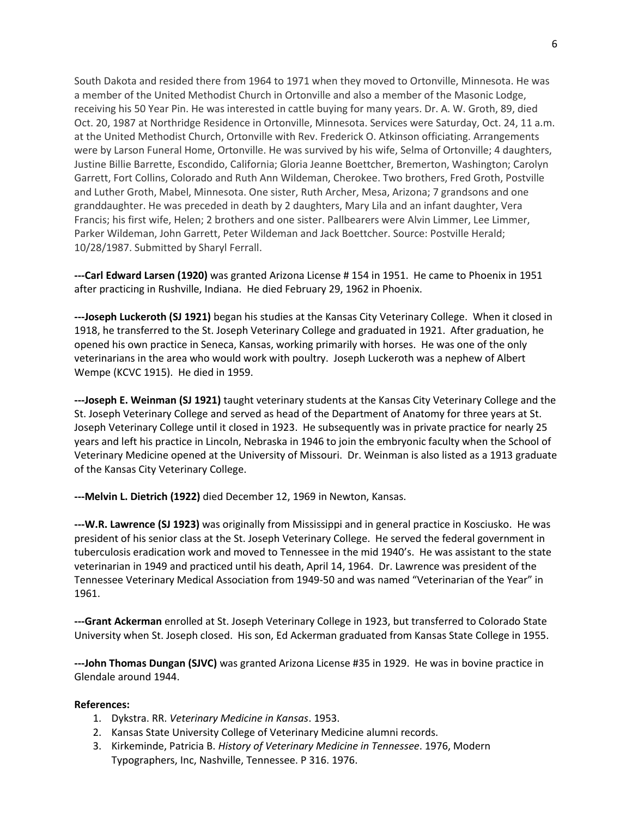South Dakota and resided there from 1964 to 1971 when they moved to Ortonville, Minnesota. He was a member of the United Methodist Church in Ortonville and also a member of the Masonic Lodge, receiving his 50 Year Pin. He was interested in cattle buying for many years. Dr. A. W. Groth, 89, died Oct. 20, 1987 at Northridge Residence in Ortonville, Minnesota. Services were Saturday, Oct. 24, 11 a.m. at the United Methodist Church, Ortonville with Rev. Frederick O. Atkinson officiating. Arrangements were by Larson Funeral Home, Ortonville. He was survived by his wife, Selma of Ortonville; 4 daughters, Justine Billie Barrette, Escondido, California; Gloria Jeanne Boettcher, Bremerton, Washington; Carolyn Garrett, Fort Collins, Colorado and Ruth Ann Wildeman, Cherokee. Two brothers, Fred Groth, Postville and Luther Groth, Mabel, Minnesota. One sister, Ruth Archer, Mesa, Arizona; 7 grandsons and one granddaughter. He was preceded in death by 2 daughters, Mary Lila and an infant daughter, Vera Francis; his first wife, Helen; 2 brothers and one sister. Pallbearers were Alvin Limmer, Lee Limmer, Parker Wildeman, John Garrett, Peter Wildeman and Jack Boettcher. Source: Postville Herald; 10/28/1987. Submitted by Sharyl Ferrall.

**---Carl Edward Larsen (1920)** was granted Arizona License # 154 in 1951. He came to Phoenix in 1951 after practicing in Rushville, Indiana. He died February 29, 1962 in Phoenix.

**---Joseph Luckeroth (SJ 1921)** began his studies at the Kansas City Veterinary College. When it closed in 1918, he transferred to the St. Joseph Veterinary College and graduated in 1921. After graduation, he opened his own practice in Seneca, Kansas, working primarily with horses. He was one of the only veterinarians in the area who would work with poultry. Joseph Luckeroth was a nephew of Albert Wempe (KCVC 1915). He died in 1959.

**---Joseph E. Weinman (SJ 1921)** taught veterinary students at the Kansas City Veterinary College and the St. Joseph Veterinary College and served as head of the Department of Anatomy for three years at St. Joseph Veterinary College until it closed in 1923. He subsequently was in private practice for nearly 25 years and left his practice in Lincoln, Nebraska in 1946 to join the embryonic faculty when the School of Veterinary Medicine opened at the University of Missouri. Dr. Weinman is also listed as a 1913 graduate of the Kansas City Veterinary College.

**---Melvin L. Dietrich (1922)** died December 12, 1969 in Newton, Kansas.

**---W.R. Lawrence (SJ 1923)** was originally from Mississippi and in general practice in Kosciusko. He was president of his senior class at the St. Joseph Veterinary College. He served the federal government in tuberculosis eradication work and moved to Tennessee in the mid 1940's. He was assistant to the state veterinarian in 1949 and practiced until his death, April 14, 1964. Dr. Lawrence was president of the Tennessee Veterinary Medical Association from 1949-50 and was named "Veterinarian of the Year" in 1961.

**---Grant Ackerman** enrolled at St. Joseph Veterinary College in 1923, but transferred to Colorado State University when St. Joseph closed. His son, Ed Ackerman graduated from Kansas State College in 1955.

**---John Thomas Dungan (SJVC)** was granted Arizona License #35 in 1929. He was in bovine practice in Glendale around 1944.

#### **References:**

- 1. Dykstra. RR. *Veterinary Medicine in Kansas*. 1953.
- 2. Kansas State University College of Veterinary Medicine alumni records.
- 3. Kirkeminde, Patricia B. *History of Veterinary Medicine in Tennessee*. 1976, Modern Typographers, Inc, Nashville, Tennessee. P 316. 1976.